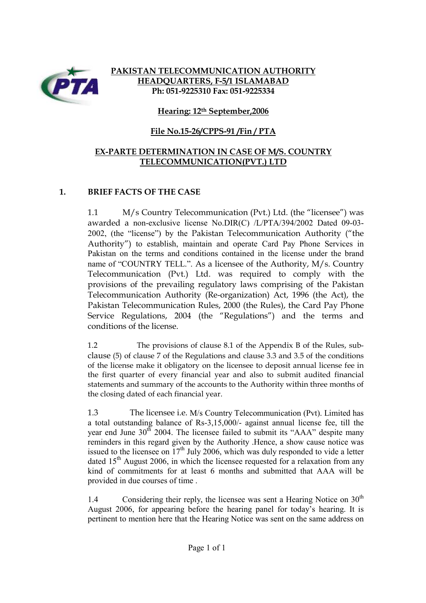

## **PAKISTAN TELECOMMUNICATION AUTHORITY HEADQUARTERS, F-5/1 ISLAMABAD Ph: 051-9225310 Fax: 051-9225334**

### **Hearing: 12th September,2006**

## **File No.15-26/CPPS-91 /Fin / PTA**

### **EX-PARTE DETERMINATION IN CASE OF M/S. COUNTRY TELECOMMUNICATION(PVT.) LTD**

### **1. BRIEF FACTS OF THE CASE**

1.1 M/s Country Telecommunication (Pvt.) Ltd. (the "licensee") was awarded a non-exclusive license No.DIR(C) /L/PTA/394/2002 Dated 09-03- 2002, (the "license") by the Pakistan Telecommunication Authority ("the Authority") to establish, maintain and operate Card Pay Phone Services in Pakistan on the terms and conditions contained in the license under the brand name of "COUNTRY TELL.". As a licensee of the Authority, M/s. Country Telecommunication (Pvt.) Ltd. was required to comply with the provisions of the prevailing regulatory laws comprising of the Pakistan Telecommunication Authority (Re-organization) Act, 1996 (the Act), the Pakistan Telecommunication Rules, 2000 (the Rules), the Card Pay Phone Service Regulations, 2004 (the "Regulations") and the terms and conditions of the license.

1.2 The provisions of clause 8.1 of the Appendix B of the Rules, subclause (5) of clause 7 of the Regulations and clause 3.3 and 3.5 of the conditions of the license make it obligatory on the licensee to deposit annual license fee in the first quarter of every financial year and also to submit audited financial statements and summary of the accounts to the Authority within three months of the closing dated of each financial year.

1.3 The licensee i.e. M/s Country Telecommunication (Pvt). Limited has a total outstanding balance of Rs-3,15,000/- against annual license fee, till the vear end June  $30<sup>th</sup>$  2004. The licensee failed to submit its "AAA" despite many reminders in this regard given by the Authority .Hence, a show cause notice was issued to the licensee on  $17<sup>th</sup>$  July 2006, which was duly responded to vide a letter dated  $15<sup>th</sup>$  August 2006, in which the licensee requested for a relaxation from any kind of commitments for at least 6 months and submitted that AAA will be provided in due courses of time .

1.4 Considering their reply, the licensee was sent a Hearing Notice on 30<sup>th</sup> August 2006, for appearing before the hearing panel for today's hearing. It is pertinent to mention here that the Hearing Notice was sent on the same address on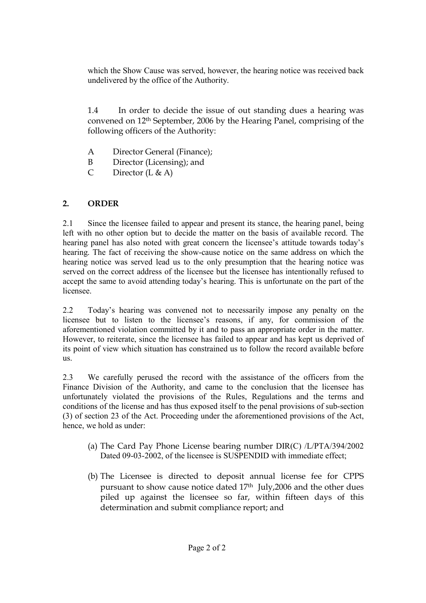which the Show Cause was served, however, the hearing notice was received back undelivered by the office of the Authority.

1.4 In order to decide the issue of out standing dues a hearing was convened on 12th September, 2006 by the Hearing Panel, comprising of the following officers of the Authority:

- A Director General (Finance);
- B Director (Licensing); and
- C Director  $(L & A)$

# **2. ORDER**

2.1 Since the licensee failed to appear and present its stance, the hearing panel, being left with no other option but to decide the matter on the basis of available record. The hearing panel has also noted with great concern the licensee's attitude towards today's hearing. The fact of receiving the show-cause notice on the same address on which the hearing notice was served lead us to the only presumption that the hearing notice was served on the correct address of the licensee but the licensee has intentionally refused to accept the same to avoid attending today's hearing. This is unfortunate on the part of the licensee.

2.2 Today's hearing was convened not to necessarily impose any penalty on the licensee but to listen to the licensee's reasons, if any, for commission of the aforementioned violation committed by it and to pass an appropriate order in the matter. However, to reiterate, since the licensee has failed to appear and has kept us deprived of its point of view which situation has constrained us to follow the record available before us.

2.3 We carefully perused the record with the assistance of the officers from the Finance Division of the Authority, and came to the conclusion that the licensee has unfortunately violated the provisions of the Rules, Regulations and the terms and conditions of the license and has thus exposed itself to the penal provisions of sub-section (3) of section 23 of the Act. Proceeding under the aforementioned provisions of the Act, hence, we hold as under:

- (a) The Card Pay Phone License bearing number DIR(C) /L/PTA/394/2002 Dated 09-03-2002, of the licensee is SUSPENDID with immediate effect;
- (b) The Licensee is directed to deposit annual license fee for CPPS pursuant to show cause notice dated 17th July,2006 and the other dues piled up against the licensee so far, within fifteen days of this determination and submit compliance report; and